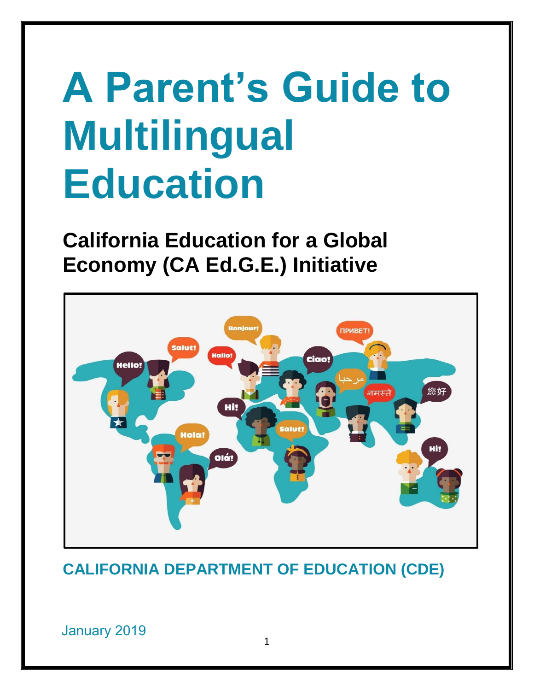# **A Parent's Guide to Multilingual Education**

**California Education for a Global Economy (CA Ed.G.E.) Initiative** 



**CALIFORNIA DEPARTMENT OF EDUCATION (CDE)**

January 2019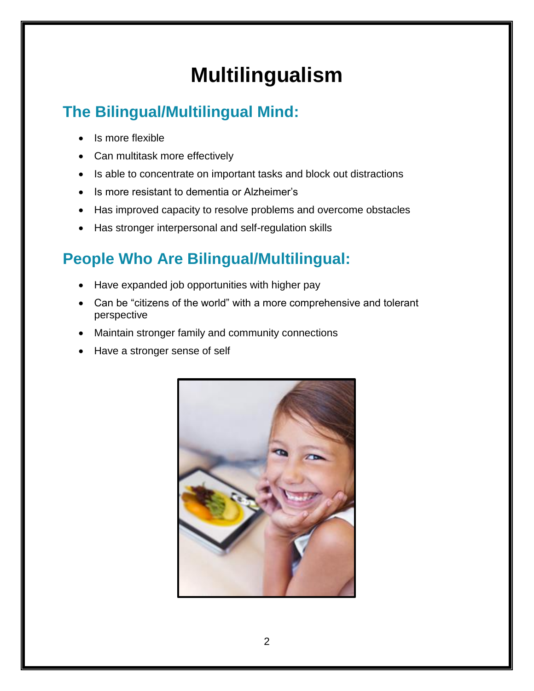# **Multilingualism**

### **The Bilingual/Multilingual Mind:**

- Is more flexible
- Can multitask more effectively
- Is able to concentrate on important tasks and block out distractions
- Is more resistant to dementia or Alzheimer's
- Has improved capacity to resolve problems and overcome obstacles
- Has stronger interpersonal and self-regulation skills

### **People Who Are Bilingual/Multilingual:**

- Have expanded job opportunities with higher pay
- Can be "citizens of the world" with a more comprehensive and tolerant perspective
- Maintain stronger family and community connections
- Have a stronger sense of self

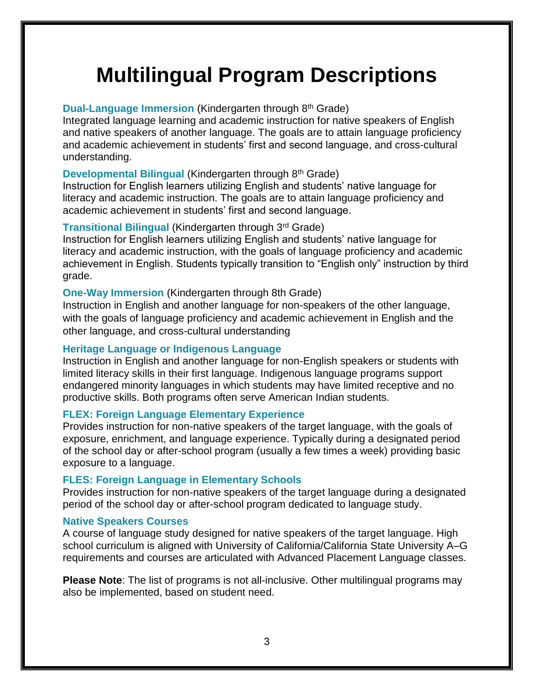# **Multilingual Program Descriptions**

#### **Dual-Language Immersion** (Kindergarten through 8th Grade)

Integrated language learning and academic instruction for native speakers of English and native speakers of another language. The goals are to attain language proficiency and academic achievement in students' first and second language, and cross-cultural understanding.

#### **Developmental Bilingual (Kindergarten through 8<sup>th</sup> Grade)**

Instruction for English learners utilizing English and students' native language for literacy and academic instruction. The goals are to attain language proficiency and academic achievement in students' first and second language.

#### **Transitional Bilingual** (Kindergarten through 3rd Grade)

Instruction for English learners utilizing English and students' native language for literacy and academic instruction, with the goals of language proficiency and academic achievement in English. Students typically transition to "English only" instruction by third grade.

#### **One-Way Immersion** (Kindergarten through 8th Grade)

Instruction in English and another language for non-speakers of the other language, with the goals of language proficiency and academic achievement in English and the other language, and cross-cultural understanding

#### **Heritage Language or Indigenous Language**

Instruction in English and another language for non-English speakers or students with limited literacy skills in their first language. Indigenous language programs support endangered minority languages in which students may have limited receptive and no productive skills. Both programs often serve American Indian students.

#### **FLEX: Foreign Language Elementary Experience**

Provides instruction for non-native speakers of the target language, with the goals of exposure, enrichment, and language experience. Typically during a designated period of the school day or after-school program (usually a few times a week) providing basic exposure to a language.

#### **FLES: Foreign Language in Elementary Schools**

Provides instruction for non-native speakers of the target language during a designated period of the school day or after-school program dedicated to language study.

#### **Native Speakers Courses**

A course of language study designed for native speakers of the target language. High school curriculum is aligned with University of California/California State University A–G requirements and courses are articulated with Advanced Placement Language classes.

**Please Note**: The list of programs is not all-inclusive. Other multilingual programs may also be implemented, based on student need.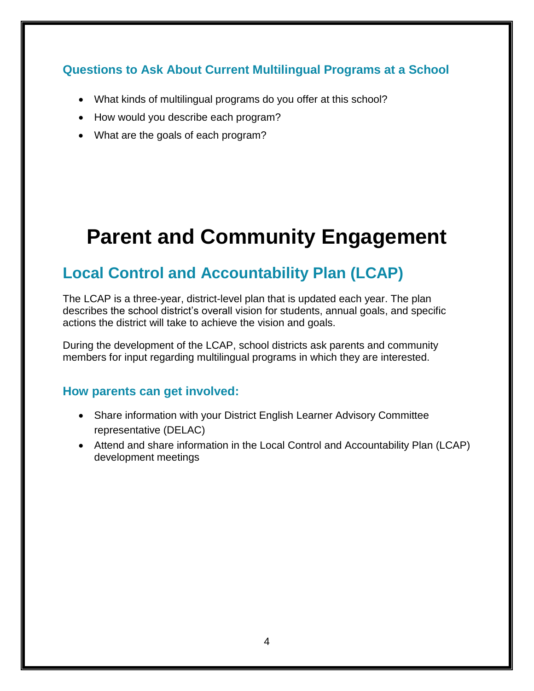#### **Questions to Ask About Current Multilingual Programs at a School**

- What kinds of multilingual programs do you offer at this school?
- How would you describe each program?
- What are the goals of each program?

# **Parent and Community Engagement**

### **Local Control and Accountability Plan (LCAP)**

The LCAP is a three-year, district-level plan that is updated each year. The plan describes the school district's overall vision for students, annual goals, and specific actions the district will take to achieve the vision and goals.

During the development of the LCAP, school districts ask parents and community members for input regarding multilingual programs in which they are interested.

#### **How parents can get involved:**

- Share information with your District English Learner Advisory Committee representative (DELAC)
- Attend and share information in the Local Control and Accountability Plan (LCAP) development meetings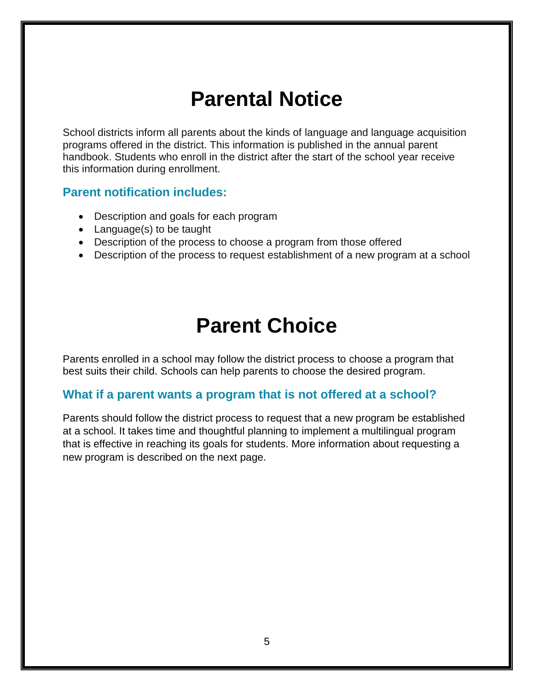### **Parental Notice**

School districts inform all parents about the kinds of language and language acquisition programs offered in the district. This information is published in the annual parent handbook. Students who enroll in the district after the start of the school year receive this information during enrollment.

#### **Parent notification includes:**

- Description and goals for each program
- Language(s) to be taught
- Description of the process to choose a program from those offered
- Description of the process to request establishment of a new program at a school

### **Parent Choice**

Parents enrolled in a school may follow the district process to choose a program that best suits their child. Schools can help parents to choose the desired program.

#### **What if a parent wants a program that is not offered at a school?**

Parents should follow the district process to request that a new program be established at a school. It takes time and thoughtful planning to implement a multilingual program that is effective in reaching its goals for students. More information about requesting a new program is described on the next page.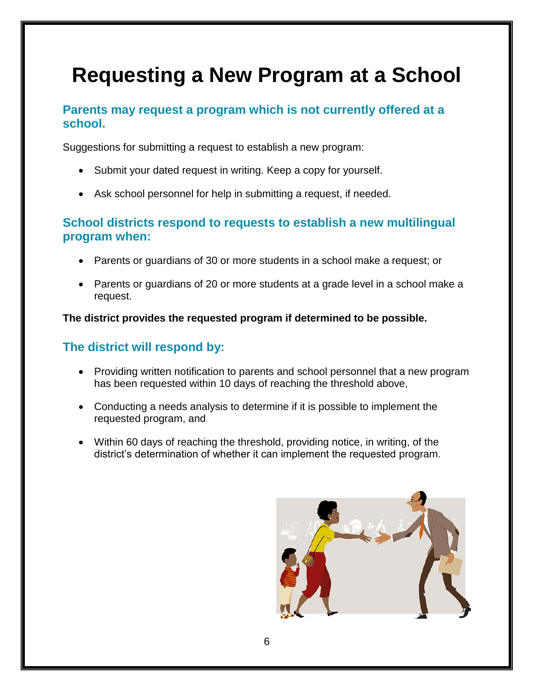# **Requesting a New Program at a School**

#### **Parents may request a program which is not currently offered at a school.**

Suggestions for submitting a request to establish a new program:

- Submit your dated request in writing. Keep a copy for yourself.
- Ask school personnel for help in submitting a request, if needed.

#### **School districts respond to requests to establish a new multilingual program when:**

- Parents or guardians of 30 or more students in a school make a request; or
- Parents or guardians of 20 or more students at a grade level in a school make a request.

**The district provides the requested program if determined to be possible.** 

#### **The district will respond by:**

- Providing written notification to parents and school personnel that a new program has been requested within 10 days of reaching the threshold above,
- Conducting a needs analysis to determine if it is possible to implement the requested program, and
- Within 60 days of reaching the threshold, providing notice, in writing, of the district's determination of whether it can implement the requested program.

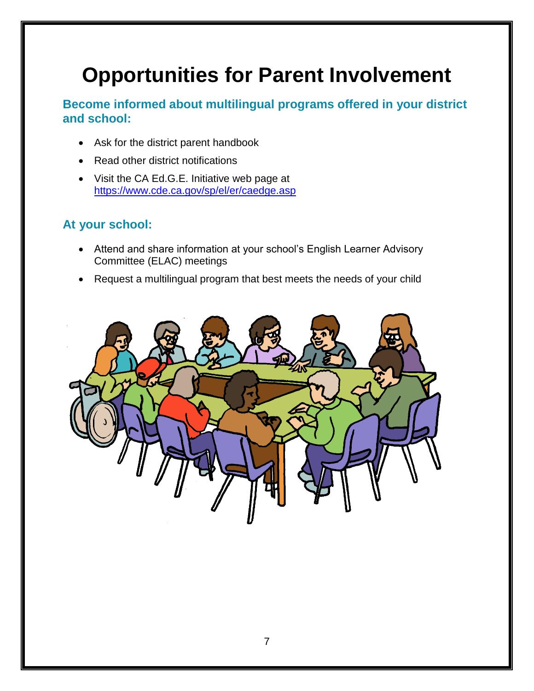# **Opportunities for Parent Involvement**

**Become informed about multilingual programs offered in your district and school:** 

- Ask for the district parent handbook
- Read other district notifications
- Visit the CA Ed.G.E. Initiative web page at <https://www.cde.ca.gov/sp/el/er/caedge.asp>

#### **At your school:**

- Attend and share information at your school's English Learner Advisory Committee (ELAC) meetings
- Request a multilingual program that best meets the needs of your child

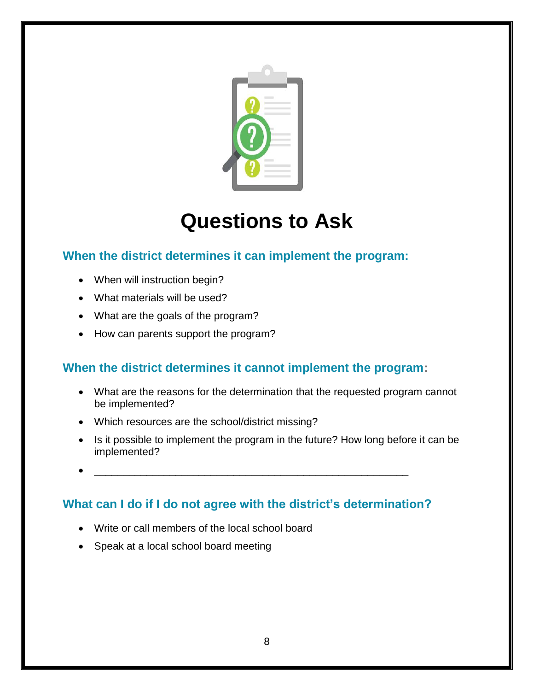

# **Questions to Ask**

#### **When the district determines it can implement the program:**

- When will instruction begin?
- What materials will be used?
- What are the goals of the program?
- How can parents support the program?

#### **When the district determines it cannot implement the program:**

- What are the reasons for the determination that the requested program cannot be implemented?
- Which resources are the school/district missing?
- Is it possible to implement the program in the future? How long before it can be implemented?
- $\bullet$   $\overbrace{\hspace{2.5cm}}$   $\overbrace{\hspace{2.5cm}}$   $\overbrace{\hspace{2.5cm}}$

#### **What can I do if I do not agree with the district's determination?**

- Write or call members of the local school board
- Speak at a local school board meeting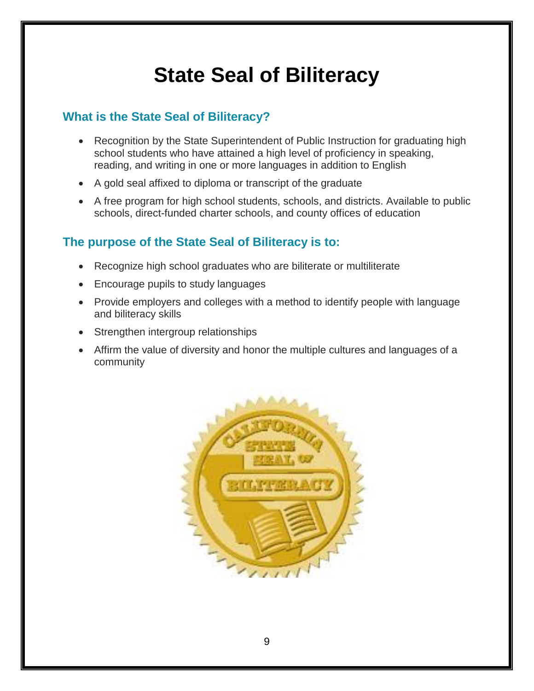# **State Seal of Biliteracy**

#### **What is the State Seal of Biliteracy?**

- Recognition by the State Superintendent of Public Instruction for graduating high school students who have attained a high level of proficiency in speaking, reading, and writing in one or more languages in addition to English
- A gold seal affixed to diploma or transcript of the graduate
- A free program for high school students, schools, and districts. Available to public schools, direct-funded charter schools, and county offices of education

#### **The purpose of the State Seal of Biliteracy is to:**

- Recognize high school graduates who are biliterate or multiliterate
- Encourage pupils to study languages
- Provide employers and colleges with a method to identify people with language and biliteracy skills
- Strengthen intergroup relationships
- Affirm the value of diversity and honor the multiple cultures and languages of a community